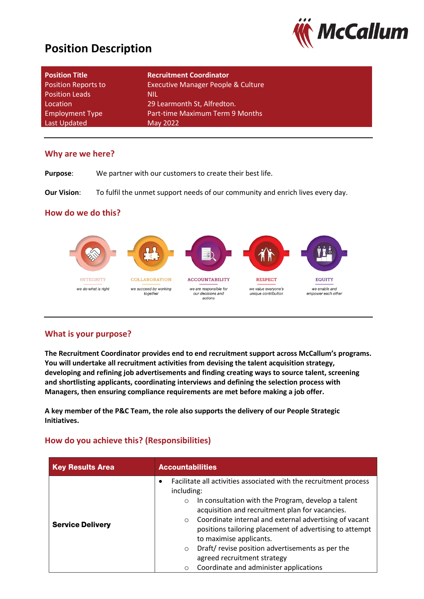# **Position Description**



| <b>Position Title</b>      | <b>Recruitment Coordinator</b>                |
|----------------------------|-----------------------------------------------|
| <b>Position Reports to</b> | <b>Executive Manager People &amp; Culture</b> |
| <b>Position Leads</b>      | <b>NIL</b>                                    |
| Location                   | 29 Learmonth St, Alfredton.                   |
| <b>Employment Type</b>     | Part-time Maximum Term 9 Months               |
| Last Updated               | May 2022                                      |

### **Why are we here?**

**Purpose**: We partner with our customers to create their best life.

**Our Vision:** To fulfil the unmet support needs of our community and enrich lives every day.

### **How do we do this?**



## **What is your purpose?**

**The Recruitment Coordinator provides end to end recruitment support across McCallum's programs. You will undertake all recruitment activities from devising the talent acquisition strategy, developing and refining job advertisements and finding creating ways to source talent, screening and shortlisting applicants, coordinating interviews and defining the selection process with Managers, then ensuring compliance requirements are met before making a job offer.**

**A key member of the P&C Team, the role also supports the delivery of our People Strategic Initiatives.**

## **How do you achieve this? (Responsibilities)**

| <b>Key Results Area</b> | <b>Accountabilities</b>                                                                                                                                                                                                                                                                                                                                                                                                                                                                                         |  |
|-------------------------|-----------------------------------------------------------------------------------------------------------------------------------------------------------------------------------------------------------------------------------------------------------------------------------------------------------------------------------------------------------------------------------------------------------------------------------------------------------------------------------------------------------------|--|
| <b>Service Delivery</b> | Facilitate all activities associated with the recruitment process<br>٠<br>including:<br>In consultation with the Program, develop a talent<br>$\circ$<br>acquisition and recruitment plan for vacancies.<br>Coordinate internal and external advertising of vacant<br>$\circ$<br>positions tailoring placement of advertising to attempt<br>to maximise applicants.<br>Draft/revise position advertisements as per the<br>$\circ$<br>agreed recruitment strategy<br>Coordinate and administer applications<br>O |  |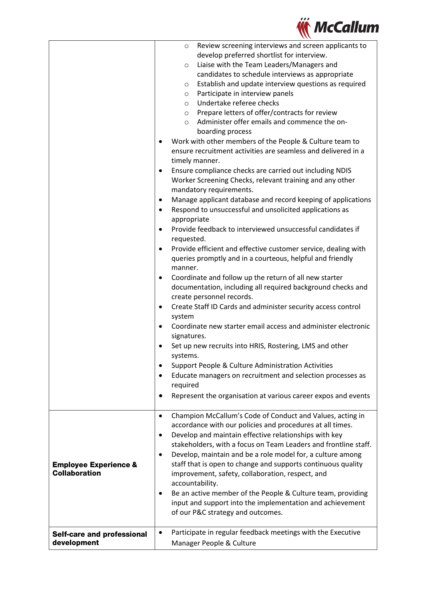

|                                                          | Review screening interviews and screen applicants to<br>$\circ$<br>develop preferred shortlist for interview.<br>Liaise with the Team Leaders/Managers and<br>$\circ$<br>candidates to schedule interviews as appropriate<br>Establish and update interview questions as required<br>$\circ$<br>Participate in interview panels<br>$\circ$<br>Undertake referee checks<br>$\circ$<br>Prepare letters of offer/contracts for review<br>$\circ$<br>Administer offer emails and commence the on-<br>$\circ$<br>boarding process<br>Work with other members of the People & Culture team to<br>$\bullet$<br>ensure recruitment activities are seamless and delivered in a<br>timely manner.<br>Ensure compliance checks are carried out including NDIS<br>٠<br>Worker Screening Checks, relevant training and any other<br>mandatory requirements.<br>Manage applicant database and record keeping of applications<br>٠<br>Respond to unsuccessful and unsolicited applications as<br>$\bullet$<br>appropriate<br>Provide feedback to interviewed unsuccessful candidates if<br>$\bullet$<br>requested.<br>Provide efficient and effective customer service, dealing with<br>$\bullet$<br>queries promptly and in a courteous, helpful and friendly<br>manner.<br>Coordinate and follow up the return of all new starter<br>٠<br>documentation, including all required background checks and<br>create personnel records.<br>Create Staff ID Cards and administer security access control<br>$\bullet$<br>system<br>Coordinate new starter email access and administer electronic<br>$\bullet$<br>signatures.<br>Set up new recruits into HRIS, Rostering, LMS and other<br>systems.<br>Support People & Culture Administration Activities<br>٠<br>Educate managers on recruitment and selection processes as<br>$\bullet$<br>required<br>Represent the organisation at various career expos and events<br>٠ |
|----------------------------------------------------------|----------------------------------------------------------------------------------------------------------------------------------------------------------------------------------------------------------------------------------------------------------------------------------------------------------------------------------------------------------------------------------------------------------------------------------------------------------------------------------------------------------------------------------------------------------------------------------------------------------------------------------------------------------------------------------------------------------------------------------------------------------------------------------------------------------------------------------------------------------------------------------------------------------------------------------------------------------------------------------------------------------------------------------------------------------------------------------------------------------------------------------------------------------------------------------------------------------------------------------------------------------------------------------------------------------------------------------------------------------------------------------------------------------------------------------------------------------------------------------------------------------------------------------------------------------------------------------------------------------------------------------------------------------------------------------------------------------------------------------------------------------------------------------------------------------------------------------------------------------------------------------------------------------|
|                                                          |                                                                                                                                                                                                                                                                                                                                                                                                                                                                                                                                                                                                                                                                                                                                                                                                                                                                                                                                                                                                                                                                                                                                                                                                                                                                                                                                                                                                                                                                                                                                                                                                                                                                                                                                                                                                                                                                                                          |
| <b>Employee Experience &amp;</b><br><b>Collaboration</b> | Champion McCallum's Code of Conduct and Values, acting in<br>$\bullet$<br>accordance with our policies and procedures at all times.<br>Develop and maintain effective relationships with key<br>$\bullet$<br>stakeholders, with a focus on Team Leaders and frontline staff.<br>Develop, maintain and be a role model for, a culture among<br>$\bullet$<br>staff that is open to change and supports continuous quality<br>improvement, safety, collaboration, respect, and<br>accountability.<br>Be an active member of the People & Culture team, providing<br>$\bullet$<br>input and support into the implementation and achievement<br>of our P&C strategy and outcomes.<br>Participate in regular feedback meetings with the Executive                                                                                                                                                                                                                                                                                                                                                                                                                                                                                                                                                                                                                                                                                                                                                                                                                                                                                                                                                                                                                                                                                                                                                              |
| Self-care and professional<br>development                | ٠<br>Manager People & Culture                                                                                                                                                                                                                                                                                                                                                                                                                                                                                                                                                                                                                                                                                                                                                                                                                                                                                                                                                                                                                                                                                                                                                                                                                                                                                                                                                                                                                                                                                                                                                                                                                                                                                                                                                                                                                                                                            |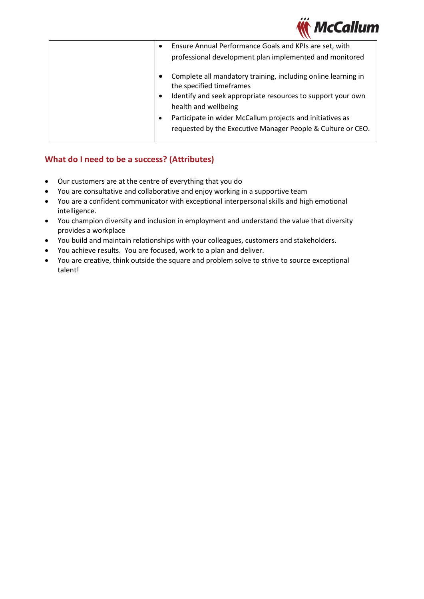

| Ensure Annual Performance Goals and KPIs are set, with<br>$\bullet$<br>professional development plan implemented and monitored                                                                                                                                                                               |
|--------------------------------------------------------------------------------------------------------------------------------------------------------------------------------------------------------------------------------------------------------------------------------------------------------------|
| Complete all mandatory training, including online learning in<br>the specified timeframes<br>Identify and seek appropriate resources to support your own<br>health and wellbeing<br>Participate in wider McCallum projects and initiatives as<br>requested by the Executive Manager People & Culture or CEO. |

# **What do I need to be a success? (Attributes)**

- Our customers are at the centre of everything that you do
- You are consultative and collaborative and enjoy working in a supportive team
- You are a confident communicator with exceptional interpersonal skills and high emotional intelligence.
- You champion diversity and inclusion in employment and understand the value that diversity provides a workplace
- You build and maintain relationships with your colleagues, customers and stakeholders.
- You achieve results. You are focused, work to a plan and deliver.
- You are creative, think outside the square and problem solve to strive to source exceptional talent!